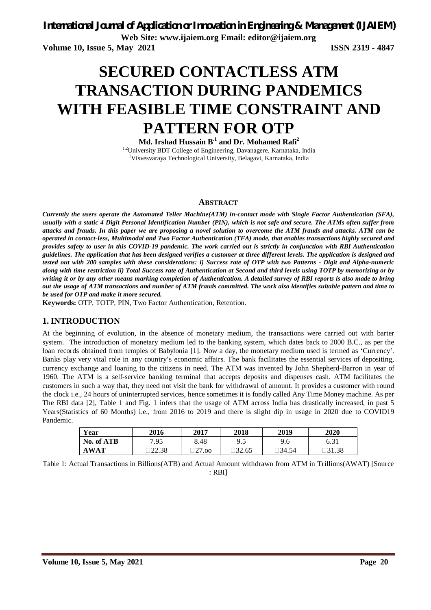**Web Site: www.ijaiem.org Email: editor@ijaiem.org**

**Volume 10, Issue 5, May 2021 ISSN 2319 - 4847**

# **SECURED CONTACTLESS ATM TRANSACTION DURING PANDEMICS WITH FEASIBLE TIME CONSTRAINT AND PATTERN FOR OTP**

**Md. Irshad Hussain B.1 and Dr. Mohamed Rafi<sup>2</sup>** <sup>1,2</sup>University BDT College of Engineering, Davanagere, Karnataka, India

<sup>1</sup>Visvesvaraya Technological University, Belagavi, Karnataka, India

## **ABSTRACT**

*Currently the users operate the Automated Teller Machine(ATM) in-contact mode with Single Factor Authentication (SFA), usually with a static 4 Digit Personal Identification Number (PIN), which is not safe and secure. The ATMs often suffer from attacks and frauds. In this paper we are proposing a novel solution to overcome the ATM frauds and attacks. ATM can be operated in contact-less, Multimodal and Two Factor Authentication (TFA) mode, that enables transactions highly secured and provides safety to user in this COVID-19 pandemic. The work carried out is strictly in conjunction with RBI Authentication guidelines. The application that has been designed verifies a customer at three different levels. The application is designed and tested out with 200 samples with these considerations: i) Success rate of OTP with two Patterns - Digit and Alpha-numeric along with time restriction ii) Total Success rate of Authentication at Second and third levels using TOTP by memorizing or by writing it or by any other means marking completion of Authentication. A detailed survey of RBI reports is also made to bring out the usage of ATM transactions and number of ATM frauds committed. The work also identifies suitable pattern and time to be used for OTP and make it more secured.*

**Keywords:** OTP, TOTP, PIN, Two Factor Authentication, Retention.

## **1. INTRODUCTION**

At the beginning of evolution, in the absence of monetary medium, the transactions were carried out with barter system. The introduction of monetary medium led to the banking system, which dates back to 2000 B.C., as per the loan records obtained from temples of Babylonia [1]. Now a day, the monetary medium used is termed as 'Currency'. Banks play very vital role in any country's economic affairs. The bank facilitates the essential services of depositing, currency exchange and loaning to the citizens in need. The ATM was invented by John Shepherd-Barron in year of 1960. The ATM is a self-service banking terminal that accepts deposits and dispenses cash. ATM facilitates the customers in such a way that, they need not visit the bank for withdrawal of amount. It provides a customer with round the clock i.e., 24 hours of uninterrupted services, hence sometimes it is fondly called Any Time Money machine. As per The RBI data [2], Table 1 and Fig. 1 infers that the usage of ATM across India has drastically increased, in past 5 Years(Statistics of 60 Months) i.e., from 2016 to 2019 and there is slight dip in usage in 2020 due to COVID19 Pandemic.

| Year        | 2016   | 2017         | 2018       | 2019   | 2020   |
|-------------|--------|--------------|------------|--------|--------|
| No. of ATB  | 7.95   | 8.48         | ດ <<br>ر., | 9.6    | 6.31   |
| <b>AWAT</b> | 122.38 | าาร<br>27.00 | 32.65      | 134.54 | □31.38 |

Table 1: Actual Transactions in Billions(ATB) and Actual Amount withdrawn from ATM in Trillions(AWAT) [Source : RBI]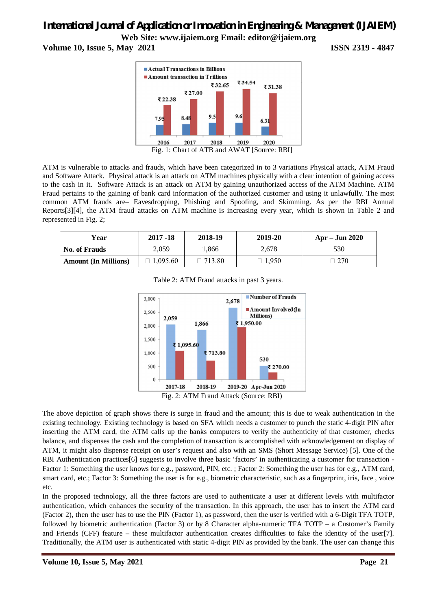**Volume 10, Issue 5, May 2021 ISSN 2319 - 4847**



ATM is vulnerable to attacks and frauds, which have been categorized in to 3 variations Physical attack, ATM Fraud and Software Attack. Physical attack is an attack on ATM machines physically with a clear intention of gaining access to the cash in it. Software Attack is an attack on ATM by gaining unauthorized access of the ATM Machine. ATM Fraud pertains to the gaining of bank card information of the authorized customer and using it unlawfully. The most common ATM frauds are– Eavesdropping, Phishing and Spoofing, and Skimming. As per the RBI Annual Reports[3][4], the ATM fraud attacks on ATM machine is increasing every year, which is shown in Table 2 and represented in Fig. 2;

| Year                        | $2017 - 18$ | 2018-19 | 2019-20 | $Apr - Jun 2020$ |
|-----------------------------|-------------|---------|---------|------------------|
| No. of Frauds               | 2.059       | 1,866   | 2.678   | 530              |
| <b>Amount (In Millions)</b> | .095.60     | 713.80  | 1,950   | 270              |



Table 2: ATM Fraud attacks in past 3 years.

The above depiction of graph shows there is surge in fraud and the amount; this is due to weak authentication in the existing technology. Existing technology is based on SFA which needs a customer to punch the static 4-digit PIN after inserting the ATM card, the ATM calls up the banks computers to verify the authenticity of that customer, checks balance, and dispenses the cash and the completion of transaction is accomplished with acknowledgement on display of ATM, it might also dispense receipt on user's request and also with an SMS (Short Message Service) [5]. One of the RBI Authentication practices[6] suggests to involve three basic 'factors' in authenticating a customer for transaction - Factor 1: Something the user knows for e.g., password, PIN, etc. ; Factor 2: Something the user has for e.g., ATM card, smart card, etc.; Factor 3: Something the user is for e.g., biometric characteristic, such as a fingerprint, iris, face, voice etc.

In the proposed technology, all the three factors are used to authenticate a user at different levels with multifactor authentication, which enhances the security of the transaction. In this approach, the user has to insert the ATM card (Factor 2), then the user has to use the PIN (Factor 1), as password, then the user is verified with a 6-Digit TFA TOTP, followed by biometric authentication (Factor 3) or by 8 Character alpha-numeric TFA TOTP – a Customer's Family and Friends (CFF) feature – these multifactor authentication creates difficulties to fake the identity of the user[7]. Traditionally, the ATM user is authenticated with static 4-digit PIN as provided by the bank. The user can change this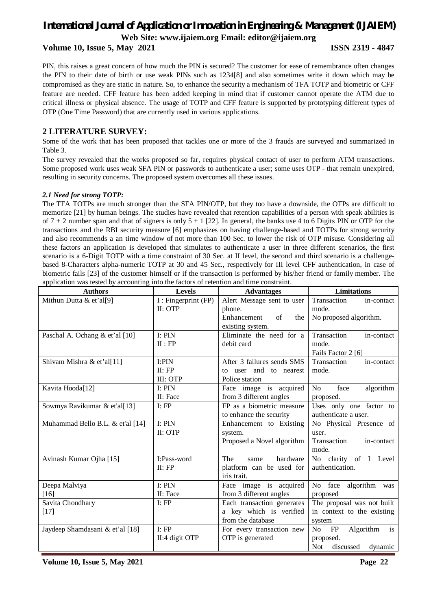**Volume 10, Issue 5, May 2021 ISSN 2319 - 4847**

PIN, this raises a great concern of how much the PIN is secured? The customer for ease of remembrance often changes the PIN to their date of birth or use weak PINs such as 1234[8] and also sometimes write it down which may be compromised as they are static in nature. So, to enhance the security a mechanism of TFA TOTP and biometric or CFF feature are needed. CFF feature has been added keeping in mind that if customer cannot operate the ATM due to critical illness or physical absence. The usage of TOTP and CFF feature is supported by prototyping different types of OTP (One Time Password) that are currently used in various applications.

## **2 LITERATURE SURVEY:**

Some of the work that has been proposed that tackles one or more of the 3 frauds are surveyed and summarized in Table 3.

The survey revealed that the works proposed so far, requires physical contact of user to perform ATM transactions. Some proposed work uses weak SFA PIN or passwords to authenticate a user; some uses OTP - that remain unexpired, resulting in security concerns. The proposed system overcomes all these issues.

## *2.1 Need for strong TOTP:*

The TFA TOTPs are much stronger than the SFA PIN/OTP, but they too have a downside, the OTPs are difficult to memorize [21] by human beings. The studies have revealed that retention capabilities of a person with speak abilities is of  $7 \pm 2$  number span and that of signers is only  $5 \pm 1$  [22]. In general, the banks use 4 to 6 Digits PIN or OTP for the transactions and the RBI security measure [6] emphasizes on having challenge-based and TOTPs for strong security and also recommends a an time window of not more than 100 Sec. to lower the risk of OTP misuse. Considering all these factors an application is developed that simulates to authenticate a user in three different scenarios, the first scenario is a 6-Digit TOTP with a time constraint of 30 Sec. at II level, the second and third scenario is a challengebased 8-Characters alpha-numeric TOTP at 30 and 45 Sec., respectively for III level CFF authentication, in case of biometric fails [23] of the customer himself or if the transaction is performed by his/her friend or family member. The application was tested by accounting into the factors of retention and time constraint.

| <b>Authors</b>                   | <b>Levels</b>        | <b>Advantages</b>          | Limitations                        |  |
|----------------------------------|----------------------|----------------------------|------------------------------------|--|
| Mithun Dutta & et'al[9]          | I : Fingerprint (FP) | Alert Message sent to user | Transaction<br>in-contact          |  |
|                                  | $II:$ OTP            | phone.                     | mode.                              |  |
|                                  |                      | Enhancement<br>of<br>the   | No proposed algorithm.             |  |
|                                  |                      | existing system.           |                                    |  |
| Paschal A. Ochang & et'al [10]   | I: PIN               | Eliminate the need for a   | Transaction<br>in-contact          |  |
|                                  | II : FP              | debit card                 | mode.                              |  |
|                                  |                      |                            | Fails Factor 2 [6]                 |  |
| Shivam Mishra & et'al[11]        | I:PIN                | After 3 failures sends SMS | Transaction<br>in-contact          |  |
|                                  | II: FP               | to user and to nearest     | mode.                              |  |
|                                  | III: OTP             | Police station             |                                    |  |
| Kavita Hooda[12]                 | I: PIN               | Face image is acquired     | No<br>face<br>algorithm            |  |
|                                  | II: Face             | from 3 different angles    | proposed.                          |  |
| Sowmya Ravikumar & et'al[13]     | I: FP                | FP as a biometric measure  | Uses only one factor to            |  |
|                                  |                      | to enhance the security    | authenticate a user.               |  |
| Muhammad Bello B.L. & et'al [14] | I: PIN               | Enhancement to Existing    | No Physical Presence of            |  |
|                                  | II: OTP              | system.                    | user.                              |  |
|                                  |                      | Proposed a Novel algorithm | Transaction<br>in-contact          |  |
|                                  |                      |                            | mode.                              |  |
| Avinash Kumar Ojha [15]          | I:Pass-word          | The<br>hardware<br>same    | No clarity of I Level              |  |
|                                  | II: FP               | platform can be used for   | authentication.                    |  |
|                                  |                      | iris trait.                |                                    |  |
| Deepa Malviya                    | I: PIN               | Face image is acquired     | No face<br>algorithm was           |  |
| [16]                             | II: Face             | from 3 different angles    | proposed                           |  |
| Savita Choudhary                 | I: FP                | Each transaction generates | The proposal was not built         |  |
| $[17]$                           |                      | a key which is verified    | in context to the existing         |  |
|                                  |                      | from the database          | system                             |  |
| Jaydeep Shamdasani & et'al [18]  | I: FP                | For every transaction new  | FP<br>Algorithm<br>No.<br>is       |  |
|                                  | II:4 digit OTP       | OTP is generated           | proposed.                          |  |
|                                  |                      |                            | <b>Not</b><br>discussed<br>dynamic |  |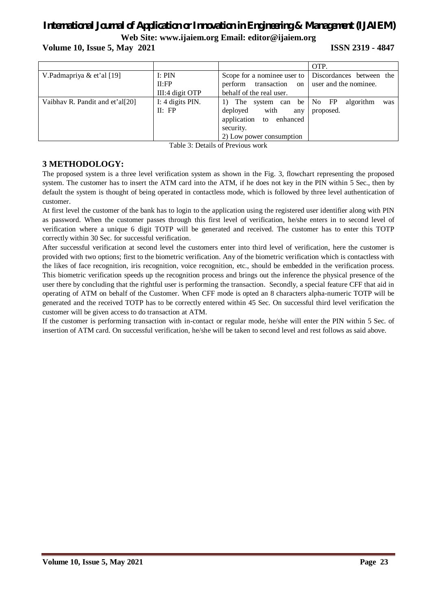**Volume 10, Issue 5, May 2021 ISSN 2319 - 4847**

|                                 |                  |                                      | OTP.                      |
|---------------------------------|------------------|--------------------------------------|---------------------------|
| V.Padmapriya & et'al [19]       | I: PIN           | Scope for a nominee user to          | Discordances between the  |
|                                 | II:FP            | perform transaction<br><sub>on</sub> | user and the nominee.     |
|                                 | III:4 digit OTP  | behalf of the real user.             |                           |
| Vaibhav R. Pandit and et'al[20] | I: 4 digits PIN. | 1) The system can be                 | No FP<br>algorithm<br>was |
|                                 | II: FP           | with<br>deployed<br>any              | proposed.                 |
|                                 |                  | application to enhanced              |                           |
|                                 |                  | security.                            |                           |
|                                 |                  | 2) Low power consumption             |                           |

Table 3: Details of Previous work

## **3 METHODOLOGY:**

The proposed system is a three level verification system as shown in the Fig. 3, flowchart representing the proposed system. The customer has to insert the ATM card into the ATM, if he does not key in the PIN within 5 Sec., then by default the system is thought of being operated in contactless mode, which is followed by three level authentication of customer.

At first level the customer of the bank has to login to the application using the registered user identifier along with PIN as password. When the customer passes through this first level of verification, he/she enters in to second level of verification where a unique 6 digit TOTP will be generated and received. The customer has to enter this TOTP correctly within 30 Sec. for successful verification.

After successful verification at second level the customers enter into third level of verification, here the customer is provided with two options; first to the biometric verification. Any of the biometric verification which is contactless with the likes of face recognition, iris recognition, voice recognition, etc., should be embedded in the verification process. This biometric verification speeds up the recognition process and brings out the inference the physical presence of the user there by concluding that the rightful user is performing the transaction. Secondly, a special feature CFF that aid in operating of ATM on behalf of the Customer. When CFF mode is opted an 8 characters alpha-numeric TOTP will be generated and the received TOTP has to be correctly entered within 45 Sec. On successful third level verification the customer will be given access to do transaction at ATM.

If the customer is performing transaction with in-contact or regular mode, he/she will enter the PIN within 5 Sec. of insertion of ATM card. On successful verification, he/she will be taken to second level and rest follows as said above.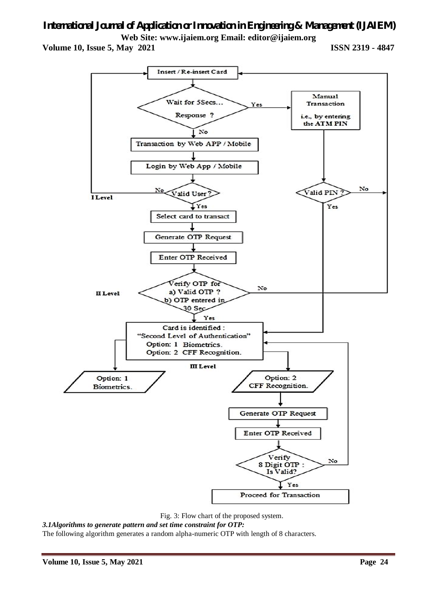**Volume 10, Issue 5, May 2021 ISSN 2319 - 4847**



Fig. 3: Flow chart of the proposed system.

*3.1Algorithms to generate pattern and set time constraint for OTP:*

The following algorithm generates a random alpha-numeric OTP with length of 8 characters.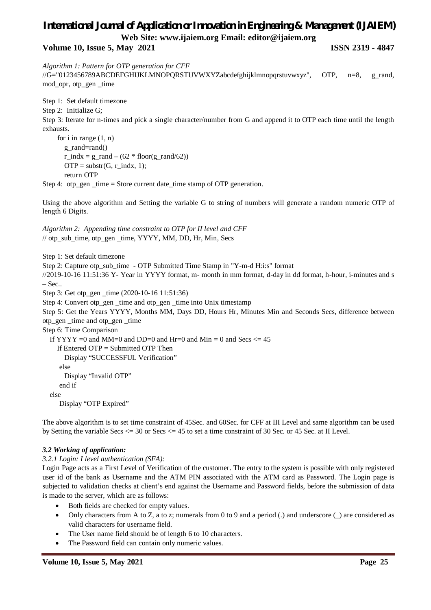**Volume 10, Issue 5, May 2021 ISSN 2319 - 4847**

*Algorithm 1: Pattern for OTP generation for CFF*

//G="0123456789ABCDEFGHIJKLMNOPQRSTUVWXYZabcdefghijklmnopqrstuvwxyz", OTP, n=8, g\_rand, mod\_opr, otp\_gen \_time

Step 1: Set default timezone

Step 2: Initialize G;

Step 3: Iterate for n-times and pick a single character/number from G and append it to OTP each time until the length exhausts.

 for i in range (1, n) g\_rand=rand()  $r\_indx = g\_rand - (62 * floor(g\_rand/62))$  $OTP = substr(G, r_index, 1);$ return OTP

Step 4: otp\_gen \_time = Store current date\_time stamp of OTP generation.

Using the above algorithm and Setting the variable G to string of numbers will generate a random numeric OTP of length 6 Digits.

*Algorithm 2: Appending time constraint to OTP for II level and CFF*  $\frac{1}{\pi}$  otp sub time, otp gen time, YYYY, MM, DD, Hr, Min, Secs

Step 1: Set default timezone

Step 2: Capture otp\_sub\_time - OTP Submitted Time Stamp in "Y-m-d H:i:s" format

//2019-10-16 11:51:36 Y- Year in YYYY format, m- month in mm format, d-day in dd format, h-hour, i-minutes and s – Sec..

Step 3: Get otp\_gen \_time (2020-10-16 11:51:36)

Step 4: Convert otp\_gen \_time and otp\_gen \_time into Unix timestamp

Step 5: Get the Years YYYY, Months MM, Days DD, Hours Hr, Minutes Min and Seconds Secs, difference between otp\_gen \_time and otp\_gen \_time

Step 6: Time Comparison

If YYYY =0 and MM=0 and DD=0 and Hr=0 and Min = 0 and Secs  $\le$  45

If Entered OTP = Submitted OTP Then Display "SUCCESSFUL Verification" else Display "Invalid OTP"

end if

else

Display "OTP Expired"

The above algorithm is to set time constraint of 45Sec. and 60Sec. for CFF at III Level and same algorithm can be used by Setting the variable Secs <= 30 or Secs <= 45 to set a time constraint of 30 Sec. or 45 Sec. at II Level.

## *3.2 Working of application:*

## *3.2.1 Login: I level authentication (SFA):*

Login Page acts as a First Level of Verification of the customer. The entry to the system is possible with only registered user id of the bank as Username and the ATM PIN associated with the ATM card as Password. The Login page is subjected to validation checks at client's end against the Username and Password fields, before the submission of data is made to the server, which are as follows:

- Both fields are checked for empty values.
- Only characters from A to Z, a to z; numerals from 0 to 9 and a period (.) and underscore () are considered as valid characters for username field.
- The User name field should be of length 6 to 10 characters.
- The Password field can contain only numeric values.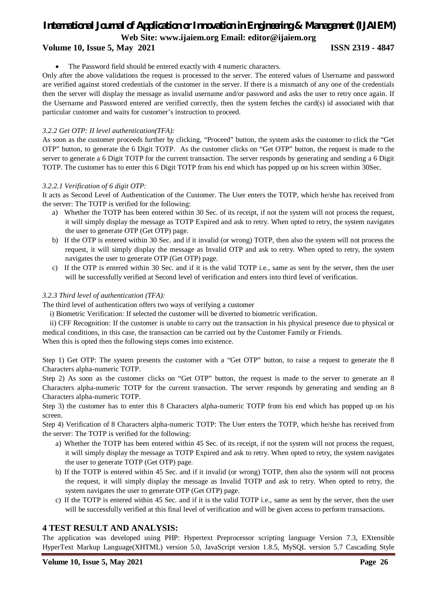## **Volume 10, Issue 5, May 2021 ISSN 2319 - 4847**

The Password field should be entered exactly with 4 numeric characters.

Only after the above validations the request is processed to the server. The entered values of Username and password are verified against stored credentials of the customer in the server. If there is a mismatch of any one of the credentials then the server will display the message as invalid username and/or password and asks the user to retry once again. If the Username and Password entered are verified correctly, then the system fetches the card(s) id associated with that particular customer and waits for customer's instruction to proceed.

## *3.2.2 Get OTP: II level authentication(TFA):*

As soon as the customer proceeds further by clicking, "Proceed" button, the system asks the customer to click the "Get OTP" button, to generate the 6 Digit TOTP. As the customer clicks on "Get OTP" button, the request is made to the server to generate a 6 Digit TOTP for the current transaction. The server responds by generating and sending a 6 Digit TOTP. The customer has to enter this 6 Digit TOTP from his end which has popped up on his screen within 30Sec.

## *3.2.2.1 Verification of 6 digit OTP:*

It acts as Second Level of Authentication of the Customer. The User enters the TOTP, which he/she has received from the server: The TOTP is verified for the following:

- a) Whether the TOTP has been entered within 30 Sec. of its receipt, if not the system will not process the request, it will simply display the message as TOTP Expired and ask to retry. When opted to retry, the system navigates the user to generate OTP (Get OTP) page.
- b) If the OTP is entered within 30 Sec. and if it invalid (or wrong) TOTP, then also the system will not process the request, it will simply display the message as Invalid OTP and ask to retry. When opted to retry, the system navigates the user to generate OTP (Get OTP) page.
- c) If the OTP is entered within 30 Sec. and if it is the valid TOTP i.e., same as sent by the server, then the user will be successfully verified at Second level of verification and enters into third level of verification.

## *3.2.3 Third level of authentication (TFA):*

The third level of authentication offers two ways of verifying a customer

i) Biometric Verification: If selected the customer will be diverted to biometric verification.

ii) CFF Recognition: If the customer is unable to carry out the transaction in his physical presence due to physical or medical conditions, in this case, the transaction can be carried out by the Customer Family or Friends.

When this is opted then the following steps comes into existence.

Step 1) Get OTP: The system presents the customer with a "Get OTP" button, to raise a request to generate the 8 Characters alpha-numeric TOTP.

Step 2) As soon as the customer clicks on "Get OTP" button, the request is made to the server to generate an 8 Characters alpha-numeric TOTP for the current transaction. The server responds by generating and sending an 8 Characters alpha-numeric TOTP.

Step 3) the customer has to enter this 8 Characters alpha-numeric TOTP from his end which has popped up on his screen.

Step 4) Verification of 8 Characters alpha-numeric TOTP: The User enters the TOTP, which he/she has received from the server: The TOTP is verified for the following:

- a) Whether the TOTP has been entered within 45 Sec. of its receipt, if not the system will not process the request, it will simply display the message as TOTP Expired and ask to retry. When opted to retry, the system navigates the user to generate TOTP (Get OTP) page.
- b) If the TOTP is entered within 45 Sec. and if it invalid (or wrong) TOTP, then also the system will not process the request, it will simply display the message as Invalid TOTP and ask to retry. When opted to retry, the system navigates the user to generate OTP (Get OTP) page.
- c) If the TOTP is entered within 45 Sec. and if it is the valid TOTP i.e., same as sent by the server, then the user will be successfully verified at this final level of verification and will be given access to perform transactions.

## **4 TEST RESULT AND ANALYSIS:**

The application was developed using PHP: Hypertext Preprocessor scripting language Version 7.3, EXtensible HyperText Markup Language(XHTML) version 5.0, JavaScript version 1.8.5, MySQL version 5.7 Cascading Style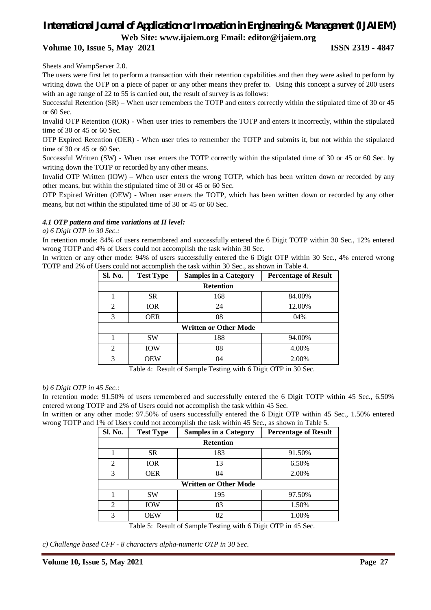## **Volume 10, Issue 5, May 2021 ISSN 2319 - 4847**

Sheets and WampServer 2.0.

The users were first let to perform a transaction with their retention capabilities and then they were asked to perform by writing down the OTP on a piece of paper or any other means they prefer to. Using this concept a survey of 200 users with an age range of 22 to 55 is carried out, the result of survey is as follows:

Successful Retention (SR) – When user remembers the TOTP and enters correctly within the stipulated time of 30 or 45 or 60 Sec.

Invalid OTP Retention (IOR) - When user tries to remembers the TOTP and enters it incorrectly, within the stipulated time of 30 or 45 or 60 Sec.

OTP Expired Retention (OER) - When user tries to remember the TOTP and submits it, but not within the stipulated time of 30 or 45 or 60 Sec.

Successful Written (SW) - When user enters the TOTP correctly within the stipulated time of 30 or 45 or 60 Sec. by writing down the TOTP or recorded by any other means.

Invalid OTP Written (IOW) – When user enters the wrong TOTP, which has been written down or recorded by any other means, but within the stipulated time of 30 or 45 or 60 Sec.

OTP Expired Written (OEW) - When user enters the TOTP, which has been written down or recorded by any other means, but not within the stipulated time of 30 or 45 or 60 Sec.

### *4.1 OTP pattern and time variations at II level:*

### *a) 6 Digit OTP in 30 Sec.:*

In retention mode: 84% of users remembered and successfully entered the 6 Digit TOTP within 30 Sec., 12% entered wrong TOTP and 4% of Users could not accomplish the task within 30 Sec.

In written or any other mode: 94% of users successfully entered the 6 Digit OTP within 30 Sec., 4% entered wrong TOTP and 2% of Users could not accomplish the task within 30 Sec., as shown in Table 4.

| Sl. No.          | <b>Test Type</b>             | <b>Samples in a Category</b> | <b>Percentage of Result</b> |  |  |  |
|------------------|------------------------------|------------------------------|-----------------------------|--|--|--|
| <b>Retention</b> |                              |                              |                             |  |  |  |
|                  | <b>SR</b>                    | 168                          | 84.00%                      |  |  |  |
| $\overline{2}$   | IOR                          | 24                           | 12.00%                      |  |  |  |
| 3                | <b>OER</b>                   | 08                           | 04%                         |  |  |  |
|                  | <b>Written or Other Mode</b> |                              |                             |  |  |  |
|                  | <b>SW</b>                    | 188                          | 94.00%                      |  |  |  |
| 2                | <b>IOW</b>                   | 08                           | 4.00%                       |  |  |  |
| 3                | <b>OEW</b>                   | 04                           | 2.00%                       |  |  |  |

Table 4: Result of Sample Testing with 6 Digit OTP in 30 Sec.

### *b) 6 Digit OTP in 45 Sec.:*

In retention mode: 91.50% of users remembered and successfully entered the 6 Digit TOTP within 45 Sec., 6.50% entered wrong TOTP and 2% of Users could not accomplish the task within 45 Sec.

In written or any other mode: 97.50% of users successfully entered the 6 Digit OTP within 45 Sec., 1.50% entered wrong TOTP and 1% of Users could not accomplish the task within 45 Sec., as shown in Table 5.

| Sl. No.                      | <b>Test Type</b> | <b>Samples in a Category</b> | <b>Percentage of Result</b> |  |  |  |
|------------------------------|------------------|------------------------------|-----------------------------|--|--|--|
| <b>Retention</b>             |                  |                              |                             |  |  |  |
|                              | <b>SR</b>        | 183                          | 91.50%                      |  |  |  |
| $\overline{c}$               | <b>IOR</b>       | 13                           | 6.50%                       |  |  |  |
| 3                            | <b>OER</b>       | 04                           | 2.00%                       |  |  |  |
| <b>Written or Other Mode</b> |                  |                              |                             |  |  |  |
|                              | <b>SW</b>        | 195                          | 97.50%                      |  |  |  |
| $\overline{c}$               | <b>IOW</b>       | 03                           | 1.50%                       |  |  |  |
| 3                            | OEW              | 02                           | 1.00%                       |  |  |  |

Table 5: Result of Sample Testing with 6 Digit OTP in 45 Sec.

*c) Challenge based CFF - 8 characters alpha-numeric OTP in 30 Sec.*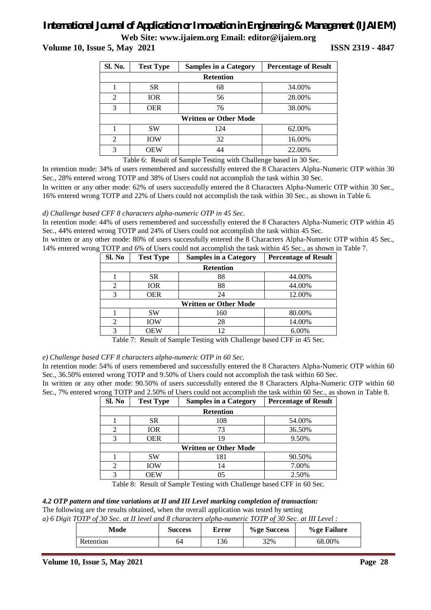## *International Journal of Application or Innovation in Engineering & Management (IJAIEM)*

**Web Site: www.ijaiem.org Email: editor@ijaiem.org**

**Volume 10, Issue 5, May 2021 ISSN 2319 - 4847**

| Sl. No.          | <b>Test Type</b><br><b>Samples in a Category</b> |     | <b>Percentage of Result</b> |  |  |  |
|------------------|--------------------------------------------------|-----|-----------------------------|--|--|--|
| <b>Retention</b> |                                                  |     |                             |  |  |  |
|                  | <b>SR</b>                                        | 68  | 34.00%                      |  |  |  |
| $\overline{2}$   | <b>IOR</b>                                       | 56  | 28.00%                      |  |  |  |
| 3                | <b>OER</b>                                       | 76  | 38.00%                      |  |  |  |
|                  | <b>Written or Other Mode</b>                     |     |                             |  |  |  |
|                  | <b>SW</b>                                        | 124 | 62.00%                      |  |  |  |
| $\mathfrak{D}$   | <b>IOW</b>                                       | 32  | 16.00%                      |  |  |  |
| 3                | <b>OEW</b>                                       | 44  | 22.00%                      |  |  |  |

Table 6: Result of Sample Testing with Challenge based in 30 Sec.

In retention mode: 34% of users remembered and successfully entered the 8 Characters Alpha-Numeric OTP within 30 Sec., 28% entered wrong TOTP and 38% of Users could not accomplish the task within 30 Sec.

In written or any other mode: 62% of users successfully entered the 8 Characters Alpha-Numeric OTP within 30 Sec., 16% entered wrong TOTP and 22% of Users could not accomplish the task within 30 Sec., as shown in Table 6.

### *d) Challenge based CFF 8 characters alpha-numeric OTP in 45 Sec.*

In retention mode: 44% of users remembered and successfully entered the 8 Characters Alpha-Numeric OTP within 45 Sec., 44% entered wrong TOTP and 24% of Users could not accomplish the task within 45 Sec.

In written or any other mode: 80% of users successfully entered the 8 Characters Alpha-Numeric OTP within 45 Sec., 14% entered wrong TOTP and 6% of Users could not accomplish the task within 45 Sec., as shown in Table 7.

| Sl. No | <b>Test Type</b>             | <b>Samples in a Category</b> | <b>Percentage of Result</b> |  |  |  |  |
|--------|------------------------------|------------------------------|-----------------------------|--|--|--|--|
|        | <b>Retention</b>             |                              |                             |  |  |  |  |
|        | <b>SR</b>                    | 88                           | 44.00%                      |  |  |  |  |
| 2      | <b>IOR</b>                   | 88                           | 44.00%                      |  |  |  |  |
| 3      | <b>OER</b>                   | 24                           | 12.00%                      |  |  |  |  |
|        | <b>Written or Other Mode</b> |                              |                             |  |  |  |  |
|        | SW                           | 160                          | 80.00%                      |  |  |  |  |
| 2      | <b>IOW</b>                   | 28                           | 14.00%                      |  |  |  |  |
| 3      | <b>OEW</b>                   | 12                           | 6.00%                       |  |  |  |  |

Table 7: Result of Sample Testing with Challenge based CFF in 45 Sec.

### *e) Challenge based CFF 8 characters alpha-numeric OTP in 60 Sec.*

In retention mode: 54% of users remembered and successfully entered the 8 Characters Alpha-Numeric OTP within 60 Sec., 36.50% entered wrong TOTP and 9.50% of Users could not accomplish the task within 60 Sec.

In written or any other mode: 90.50% of users successfully entered the 8 Characters Alpha-Numeric OTP within 60 Sec., 7% entered wrong TOTP and 2.50% of Users could not accomplish the task within 60 Sec., as shown in Table 8.

| Sl. No | <b>Test Type</b>             | <b>Samples in a Category</b> | <b>Percentage of Result</b> |  |  |  |  |
|--------|------------------------------|------------------------------|-----------------------------|--|--|--|--|
|        | <b>Retention</b>             |                              |                             |  |  |  |  |
|        | <b>SR</b>                    | 108                          | 54.00%                      |  |  |  |  |
| 2      | <b>IOR</b>                   | 73                           | 36.50%                      |  |  |  |  |
| 3      | <b>OER</b>                   | 19                           | 9.50%                       |  |  |  |  |
|        | <b>Written or Other Mode</b> |                              |                             |  |  |  |  |
|        | <b>SW</b>                    | 181                          | 90.50%                      |  |  |  |  |
| ∍      | <b>IOW</b>                   | 14                           | 7.00%                       |  |  |  |  |
| 3      | OEW                          | 05                           | 2.50%                       |  |  |  |  |

Table 8: Result of Sample Testing with Challenge based CFF in 60 Sec.

### *4.2 OTP pattern and time variations at II and III Level marking completion of transaction:*

The following are the results obtained, when the overall application was tested by setting

| a) 6 Digit TOTP of 30 Sec. at II level and 8 characters alpha-numeric TOTP of 30 Sec. at III Level: |                |       |             |             |
|-----------------------------------------------------------------------------------------------------|----------------|-------|-------------|-------------|
| Mode                                                                                                | <b>Success</b> | Error | %ge Success | %ge Failure |
| Retention                                                                                           | 64             | 136   | 32%         | 68.00%      |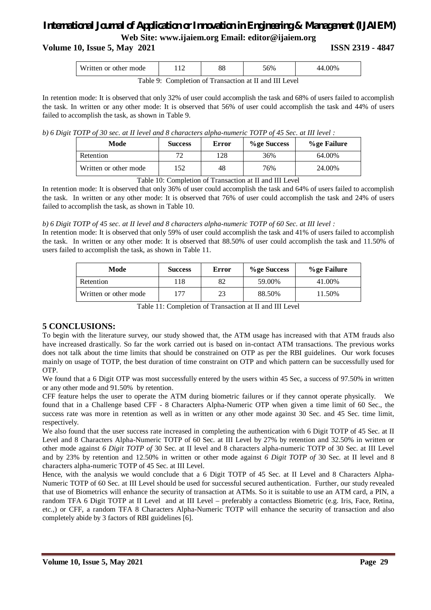## **Volume 10, Issue 5, May 2021 ISSN 2319 - 4847**

| <b>TTT</b>                        | 1 <sub>0</sub> | O <sub>O</sub> | 56%                  | $.00\%$ |
|-----------------------------------|----------------|----------------|----------------------|---------|
| Written or other mode             |                | oo             |                      | -44.    |
| $\mathbf{r}$<br>- 1 - 1<br>$\sim$ |                | r <del>m</del> | 1 TTT T<br><b>TT</b> |         |

Table 9: Completion of Transaction at II and III Level

In retention mode: It is observed that only 32% of user could accomplish the task and 68% of users failed to accomplish the task. In written or any other mode: It is observed that 56% of user could accomplish the task and 44% of users failed to accomplish the task, as shown in Table 9.

*b) 6 Digit TOTP of 30 sec. at II level and 8 characters alpha-numeric TOTP of 45 Sec. at III level :*

| Mode                  | <b>Success</b> | Error | %ge Success | %ge Failure |
|-----------------------|----------------|-------|-------------|-------------|
| Retention             |                | 128   | 36%         | 64.00%      |
| Written or other mode | 52             | 48    | 76%         | 24.00%      |

Table 10: Completion of Transaction at II and III Level

In retention mode: It is observed that only 36% of user could accomplish the task and 64% of users failed to accomplish the task. In written or any other mode: It is observed that 76% of user could accomplish the task and 24% of users failed to accomplish the task, as shown in Table 10.

## *b) 6 Digit TOTP of 45 sec. at II level and 8 characters alpha-numeric TOTP of 60 Sec. at III level :*

In retention mode: It is observed that only 59% of user could accomplish the task and 41% of users failed to accomplish the task. In written or any other mode: It is observed that 88.50% of user could accomplish the task and 11.50% of users failed to accomplish the task, as shown in Table 11.

| Mode                  | <b>Success</b> | Error | %ge Success | %ge Failure |
|-----------------------|----------------|-------|-------------|-------------|
| Retention             | 118            | 82    | 59.00%      | 41.00%      |
| Written or other mode |                | 23    | 88.50%      | 11.50%      |

Table 11: Completion of Transaction at II and III Level

## **5 CONCLUSIONS:**

To begin with the literature survey, our study showed that, the ATM usage has increased with that ATM frauds also have increased drastically. So far the work carried out is based on in-contact ATM transactions. The previous works does not talk about the time limits that should be constrained on OTP as per the RBI guidelines. Our work focuses mainly on usage of TOTP, the best duration of time constraint on OTP and which pattern can be successfully used for OTP.

We found that a 6 Digit OTP was most successfully entered by the users within 45 Sec, a success of 97.50% in written or any other mode and 91.50% by retention.

CFF feature helps the user to operate the ATM during biometric failures or if they cannot operate physically. We found that in a Challenge based CFF - 8 Characters Alpha-Numeric OTP when given a time limit of 60 Sec., the success rate was more in retention as well as in written or any other mode against 30 Sec. and 45 Sec. time limit, respectively.

We also found that the user success rate increased in completing the authentication with 6 Digit TOTP of 45 Sec. at II Level and 8 Characters Alpha-Numeric TOTP of 60 Sec. at III Level by 27% by retention and 32.50% in written or other mode against *6 Digit TOTP of* 30 Sec. at II level and 8 characters alpha-numeric TOTP of 30 Sec. at III Level and by 23% by retention and 12.50% in written or other mode against *6 Digit TOTP of* 30 Sec. at II level and 8 characters alpha-numeric TOTP of 45 Sec. at III Level.

Hence, with the analysis we would conclude that a 6 Digit TOTP of 45 Sec. at II Level and 8 Characters Alpha-Numeric TOTP of 60 Sec. at III Level should be used for successful secured authentication. Further, our study revealed that use of Biometrics will enhance the security of transaction at ATMs. So it is suitable to use an ATM card, a PIN, a random TFA 6 Digit TOTP at II Level and at III Level – preferably a contactless Biometric (e.g. Iris, Face, Retina, etc.,) or CFF, a random TFA 8 Characters Alpha-Numeric TOTP will enhance the security of transaction and also completely abide by 3 factors of RBI guidelines [6].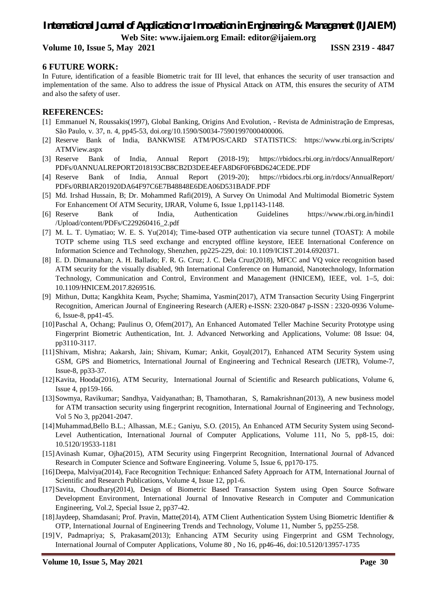## **Volume 10, Issue 5, May 2021 ISSN 2319 - 4847**

## **6 FUTURE WORK:**

In Future, identification of a feasible Biometric trait for III level, that enhances the security of user transaction and implementation of the same. Also to address the issue of Physical Attack on ATM, this ensures the security of ATM and also the safety of user.

### **REFERENCES:**

- [1] Emmanuel N, Roussakis(1997), Global Banking, Origins And Evolution, Revista de Administração de Empresas, São Paulo, v. 37, n. 4, pp45-53, doi.org/10.1590/S0034-75901997000400006.
- [2] Reserve Bank of India, BANKWISE ATM/POS/CARD STATISTICS: https://www.rbi.org.in/Scripts/ ATMView.aspx
- [3] Reserve Bank of India, Annual Report (2018-19); https://rbidocs.rbi.org.in/rdocs/AnnualReport/ PDFs/0ANNUALREPORT2018193CB8CB2D3DEE4EFA8D6F0F6BD624CEDE.PDF
- [4] Reserve Bank of India, Annual Report (2019-20); https://rbidocs.rbi.org.in/rdocs/AnnualReport/ PDFs/0RBIAR201920DA64F97C6E7B48848E6DEA06D531BADF.PDF
- [5] Md. Irshad Hussain, B; Dr. Mohammed Rafi(2019), A Survey On Unimodal And Multimodal Biometric System For Enhancement Of ATM Security, IJRAR, Volume 6, Issue 1,pp1143-1148.
- [6] Reserve Bank of India, Authentication Guidelines https://www.rbi.org.in/hindi1 /Upload/content/PDFs/C229260416\_2.pdf
- [7] M. L. T. Uymatiao; W. E. S. Yu(2014); Time-based OTP authentication via secure tunnel (TOAST): A mobile TOTP scheme using TLS seed exchange and encrypted offline keystore, IEEE International Conference on Information Science and Technology, Shenzhen, pp225-229, doi: 10.1109/ICIST.2014.6920371.
- [8] E. D. Dimaunahan; A. H. Ballado; F. R. G. Cruz; J. C. Dela Cruz(2018), MFCC and VQ voice recognition based ATM security for the visually disabled, 9th International Conference on Humanoid, Nanotechnology, Information Technology, Communication and Control, Environment and Management (HNICEM), IEEE, vol. 1–5, doi: 10.1109/HNICEM.2017.8269516.
- [9] Mithun, Dutta; Kangkhita Keam, Psyche; Shamima, Yasmin(2017), ATM Transaction Security Using Fingerprint Recognition, American Journal of Engineering Research (AJER) e-ISSN: 2320-0847 p-ISSN : 2320-0936 Volume-6, Issue-8, pp41-45.
- [10]Paschal A, Ochang; Paulinus O, Ofem(2017), An Enhanced Automated Teller Machine Security Prototype using Fingerprint Biometric Authentication, Int. J. Advanced Networking and Applications, Volume: 08 Issue: 04, pp3110-3117.
- [11]Shivam, Mishra; Aakarsh, Jain; Shivam, Kumar; Ankit, Goyal(2017), Enhanced ATM Security System using GSM, GPS and Biometrics, International Journal of Engineering and Technical Research (IJETR), Volume-7, Issue-8, pp33-37.
- [12]Kavita, Hooda(2016), ATM Security, International Journal of Scientific and Research publications, Volume 6, Issue 4, pp159-166.
- [13]Sowmya, Ravikumar; Sandhya, Vaidyanathan; B, Thamotharan, S, Ramakrishnan(2013), A new business model for ATM transaction security using fingerprint recognition, International Journal of Engineering and Technology, Vol 5 No 3, pp2041-2047.
- [14]Muhammad,Bello B.L.; Alhassan, M.E.; Ganiyu, S.O. (2015), An Enhanced ATM Security System using Second-Level Authentication, International Journal of Computer Applications, Volume 111, No 5, pp8-15, doi: 10.5120/19533-1181
- [15]Avinash Kumar, Ojha(2015), ATM Security using Fingerprint Recognition, International Journal of Advanced Research in Computer Science and Software Engineering. Volume 5, Issue 6, pp170-175.
- [16]Deepa, Malviya(2014), Face Recognition Technique: Enhanced Safety Approach for ATM, International Journal of Scientific and Research Publications, Volume 4, Issue 12, pp1-6.
- [17]Savita, Choudhary(2014), Design of Biometric Based Transaction System using Open Source Software Development Environment, International Journal of Innovative Research in Computer and Communication Engineering, Vol.2, Special Issue 2, pp37-42.
- [18]Jaydeep, Shamdasani; Prof. Pravin, Matte(2014), ATM Client Authentication System Using Biometric Identifier & OTP, International Journal of Engineering Trends and Technology, Volume 11, Number 5, pp255-258.
- [19]V, Padmapriya; S, Prakasam(2013); Enhancing ATM Security using Fingerprint and GSM Technology, International Journal of Computer Applications, Volume 80 , No 16, pp46-46, doi:10.5120/13957-1735